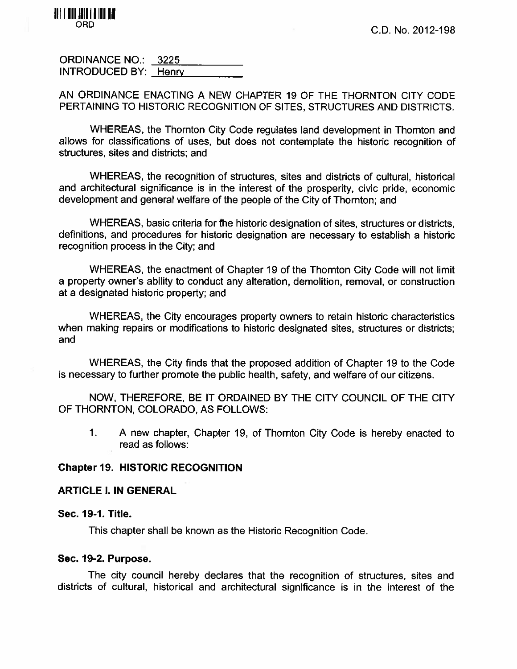

ORDINANCE NO.: 3225 INTRODUCED BY: Henry

AN ORDINANCE ENACTING A NEW CHAPTER 19 OF THE THORNTON CITY CODE PERTAINING TO HISTORIC RECOGNITION OF SITES, STRUCTURES AND DISTRICTS.

WHEREAS, the Thornton City Code regulates land development in Thornton and allows for classifications of uses, but does not contemplate the historic recognition of structures, sites and districts; and

WHEREAS, the recognition of structures, sites and districts of cultural, historical and architectural significance is in the interest of the prosperity, civic pride, economic development and general welfare of the people of the City of Thornton; and

WHEREAS, basic criteria for the historic designation of sites, structures or districts, definitions, and procedures for historic designation are necessary to establish <sup>a</sup> historic recognition process in the City; and

WHEREAS, the enactment of Chapter 19 of the Thornton City Code will not limit <sup>a</sup> property owner's ability to conduct any alteration, demolition, removal, or construction at <sup>a</sup> designated historic property; and

WHEREAS, the City encourages property owners to retain historic characteristics when making repairs or modifications to historic designated sites, structures or districts; and

WHEREAS, the City finds that the proposed addition of Chapter 19 to the Code is necessary to further promote the public health, safety, and welfare of our citizens.

NOW, THEREFORE, BE IT ORDAINED BY THE CITY COUNCIL OF THE CITY OF THORNTON, COLORADO, AS FOLLOWS:

1. A new chapter, Chapter 19, of Thornton City Code is hereby enacted to read as follows:

### Chapter 19. HISTORIC RECOGNITION

### ARTICLE I. IN GENERAL

#### Sec. 19-1. Title.

This chapter shall be known as the Historic Recognition Code.

#### Sec. 19-2. Purpose.

The city council hereby declares that the recognition of structures, sites and districts of cultural, historical and architectural significance is in the interest of the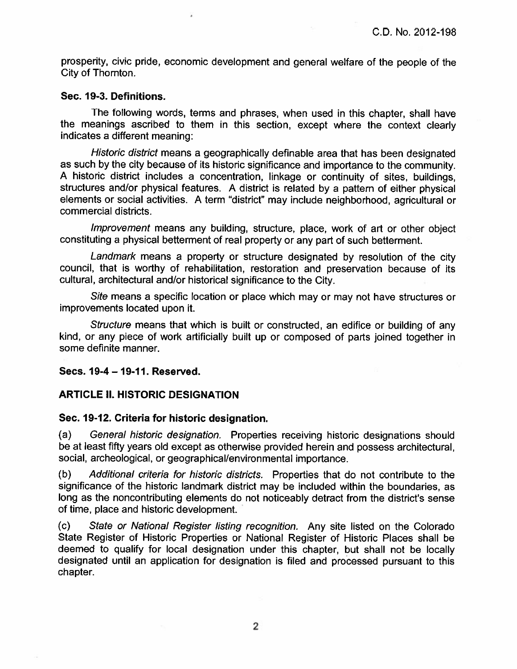prosperity, civic pride, economic development and general welfare of the people of the City of Thornton.

#### Sec. 19-3. Definitions.

The following words, terms and phrases, when used in this chapter, shall have the meanings ascribed to them in this section, except where the context clearly indicates <sup>a</sup> different meaning:

Historic district means <sup>a</sup> geographically definable area that has been designated as such by the city because of its historic significance and importance to the community. <sup>A</sup> historic district includes <sup>a</sup> concentration, linkage or continuity of sites, buildings, structures and/or physical features. A district is related by <sup>a</sup> pattern of either physical elements or social activities. A term "district" may include neighborhood, agricultural or commercial districts.

Improvement means any building, structure, place, work of art or other object constituting a physical betterment of real property or any part of such betterment.

Landmark means a property or structure designated by resolution of the city council, that is worthy of rehabilitation, restoration and preservation because of its cultural, architectural and/or historical significance to the City.

Site means a specific location or place which may or may not have structures or improvements located upon it.

Structure means that which is built or constructed, an edifice or building of any kind, or any piece of work artificially built up or composed of parts joined together in some definite manner.

### Secs. 19-4 — 19.41. Reserved.

### ARTICLE IL HISTORIC DESIGNATION

#### Sec. 19.12. Criteria for historic designation.

(a) General historic designation. Properties receiving historic designations should be at least fifty years old except as otherwise provided herein and possess architectural, social, archeological, or geographical/environmental importance.

(b) Additional criteria for historic districts. Properties that do not contribute to the significance of the historic landmark district may be included within the boundaries, as long as the noncontributing elements do not noticeably detract from the district's sense of time, place and historic development.

(c) State or National Register listing recognition. Any site listed on the Colorado State Register of Historic Properties or National Register of Historic Places shall be deemed to qualify for local designation under this chapter, but shall not be locally designated until an application for designation is filed and processed pursuant to this chapter.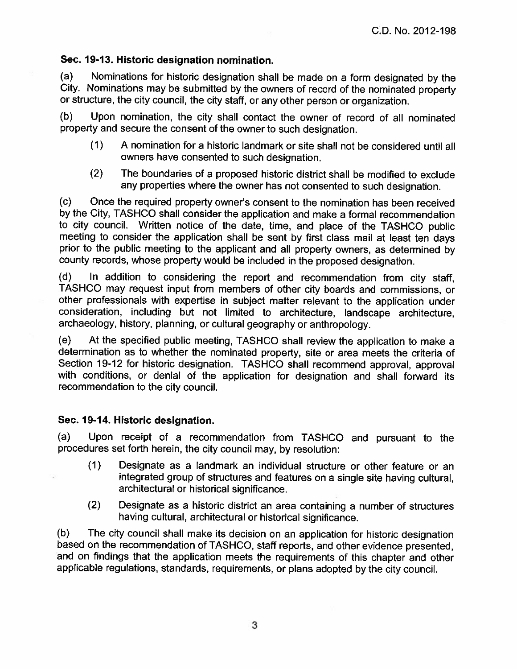# Sec. 19-13. Historic designation nomination.

(a) Nominations for historic designation shall be made on a form designated by the City. Nominations may be submitted by the owners of record of the nominated property or structure, the city council, the city staff, or any other person or organization.

(b) Upon nomination, the city shall contact the owner of record of all nominated property and secure the consent of the owner to such designation.

- (1) A nomination for a historic landmark or site shall not be considered until all owners have consented to such designation.
- $(2)$  The boundaries of a proposed historic district shall be modified to exclude any properties where the owner has not consented to such designation.

(c) Once the required property owner's consent to the nomination has been received by the City, TASHCO shall consider the application and make <sup>a</sup> formal recommendation to city council. Written notice of the date, time, and place of the TASHCO public meeting to consider the application shall be sent by first class mail at least ten days prior to the public meeting to the applicant and all

(d) In addition to considering the report and recommendation from city staff, TASHCO may request input from members of other city boards and commissions, or other professionals with expertise in subject matter relevant to

(e) At the specified public meeting, TASHCO shall review the application to make <sup>a</sup> determination as to whether the nominated property, site or area meets the criteria of<br>Section 19-12 for historic designation. TASHCO shall recommend approval, approval with conditions, or denial of the application for designation and shall forward its recommendation to the city council.

# Sec. 19-14. Historic designation.

(a) Upon receipt of <sup>a</sup> recommendation from TASHCO and pursuant to the procedures set forth herein, the city council may, by resolution:

- (1 ) Designate as <sup>a</sup> landmark an individual structure or other feature or an integrated group of structures and features on <sup>a</sup> single site having cultural, architectural or historical significance.
- (2) Designate as <sup>a</sup> historic district an area containing <sup>a</sup> number of structures having cultural, architectural or historical significance.

(b) The city council shall make its decision on an application for historic designation based on the recommendation of TASHCO, staff reports, and other evidence presented, and on findings that the application meets the req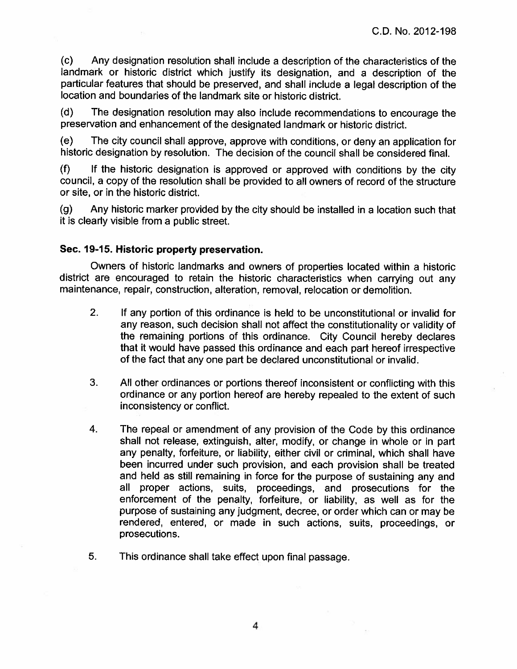(c) Any designation resolution shall include <sup>a</sup> description of the characteristics of the landmark or historic district which justify its designation, and a description of the particular features that should be preserved, and shall include a legal description of the location and boundaries of the landmark site or historic district.

(d) The designation resolution may also include recommendations to encourage the preservation and enhancement of the designated landmark or historic district.

(e) The city council shall approve, approve with conditions, or deny an application for historic designation by resolution. The decision of the council shall be considered final.

(0 If the historic designation is approved or approved with conditions by the city council, <sup>a</sup> copy of the resolution shall be provided to all owners of record of the structure or site, or in the historic district.

(g) Any historic marker provided by the city should be installed in <sup>a</sup> location such that it is clearly visible from <sup>a</sup> public street.

## Sec. 19-15. Historic property preservation.

Owners of historic landmarks and owners of properties located within <sup>a</sup> historic district are encouraged to retain the historic characteristics when carrying out any maintenance, repair, construction, alteration, removal, relocation or demolition.

- 2. If any portion of this ordinance is held to be unconstitutional or invalid for any reason, such decision shall not affect the constitutionality or validity of the remaining portions of this ordinance. City Council hereby declares that it would have passed this ordinance and each part hereof irrespective of the fact that any one part be declared unconstitutional or invalid.
- 3. All other ordinances or portions thereof inconsistent or conflicting with this ordinance or any portion hereof are hereby repealed to the extent of such inconsistency or conflict.
- 4. The repeal or amendment of any provision of the Code by this ordinance shall not release, extinguish, alter, modify, or change in whole or in part any penalty, forfeiture, or liability, either civil or criminal, which shall have been incurred under such provision, and each provision shall be treated and held as still remaining in force for the purpose of sustaining any and all proper actions, suits, proceedings, and prosecutions for the enforcement of the penalty, forfeiture, or liability, as well as for the purpose of sustaining any judgment, decree, or order which can or may be rendered, entered, or made in such actions, suits, proceedings, or prosecutions.
- 5, This ordinance shall take effect upon final passage.